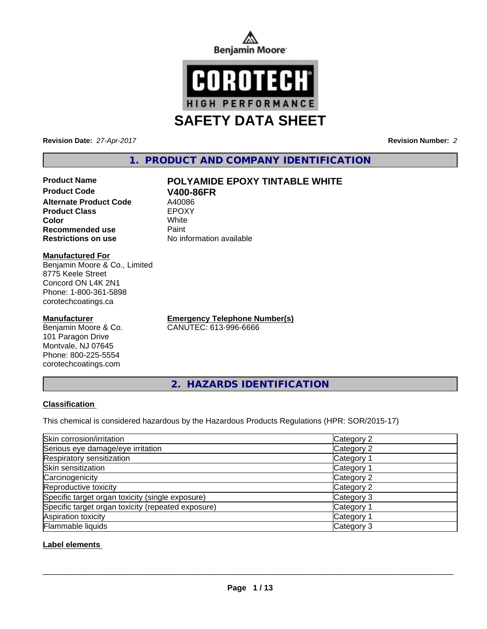



**Revision Date:** *27-Apr-2017* **Revision Number:** *2*

# **1. PRODUCT AND COMPANY IDENTIFICATION**

# **Product Name POLYAMIDE EPOXY TINTABLE WHITE**

**Product Code V400-86FR Alternate Product Code** A40086<br> **Product Class** EPOXY **Product Class Recommended use Paint Restrictions on use** No information available

**Color** White

#### **Manufactured For**

Benjamin Moore & Co., Limited 8775 Keele Street Concord ON L4K 2N1 Phone: 1-800-361-5898 corotechcoatings.ca

#### **Manufacturer**

Benjamin Moore & Co. 101 Paragon Drive Montvale, NJ 07645 Phone: 800-225-5554 corotechcoatings.com

**Emergency Telephone Number(s)** CANUTEC: 613-996-6666

**2. HAZARDS IDENTIFICATION**

### **Classification**

This chemical is considered hazardous by the Hazardous Products Regulations (HPR: SOR/2015-17)

| Skin corrosion/irritation                          | Category 2 |
|----------------------------------------------------|------------|
| Serious eye damage/eye irritation                  | Category 2 |
| Respiratory sensitization                          | Category 1 |
| Skin sensitization                                 | Category 1 |
| Carcinogenicity                                    | Category 2 |
| Reproductive toxicity                              | Category 2 |
| Specific target organ toxicity (single exposure)   | Category 3 |
| Specific target organ toxicity (repeated exposure) | Category 1 |
| Aspiration toxicity                                | Category 1 |
| Flammable liquids                                  | Category 3 |

#### **Label elements**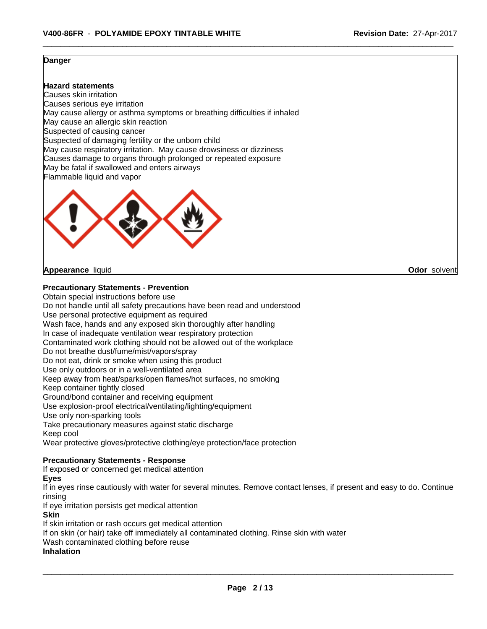#### **Danger**

#### **Hazard statements**

Causes skin irritation Causes serious eye irritation May cause allergy or asthma symptoms or breathing difficulties if inhaled May cause an allergic skin reaction Suspected of causing cancer Suspected of damaging fertility or the unborn child May cause respiratory irritation. May cause drowsiness or dizziness Causes damage to organs through prolonged or repeated exposure May be fatal if swallowed and enters airways Flammable liquid and vapor



#### **Appearance** liquid **Odor** solvent

**Precautionary Statements - Prevention**

Obtain special instructions before use Do not handle until all safety precautions have been read and understood Use personal protective equipment as required Wash face, hands and any exposed skin thoroughly after handling In case of inadequate ventilation wear respiratory protection Contaminated work clothing should not be allowed out of the workplace Do not breathe dust/fume/mist/vapors/spray Do not eat, drink or smoke when using this product Use only outdoors or in a well-ventilated area Keep away from heat/sparks/open flames/hot surfaces, no smoking Keep container tightly closed Ground/bond container and receiving equipment Use explosion-proof electrical/ventilating/lighting/equipment Use only non-sparking tools Take precautionary measures against static discharge Keep cool Wear protective gloves/protective clothing/eye protection/face protection **Precautionary Statements - Response** If exposed or concerned get medical attention **Eyes**

If in eyes rinse cautiously with water for several minutes. Remove contact lenses, if present and easy to do. Continue rinsing

If eye irritation persists get medical attention

#### **Skin**

If skin irritation or rash occurs get medical attention If on skin (or hair) take off immediately all contaminated clothing. Rinse skin with water Wash contaminated clothing before reuse

#### **Inhalation**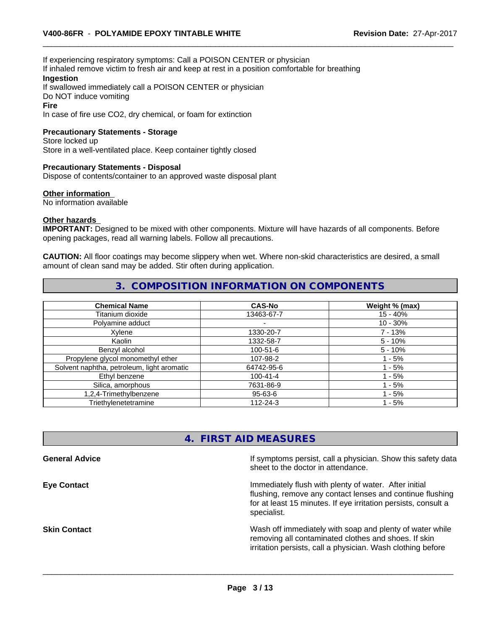If experiencing respiratory symptoms: Call a POISON CENTER or physician If inhaled remove victim to fresh air and keep at rest in a position comfortable for breathing **Ingestion**

If swallowed immediately call a POISON CENTER or physician Do NOT induce vomiting

#### **Fire**

In case of fire use CO2, dry chemical, or foam for extinction

#### **Precautionary Statements - Storage**

Store locked up Store in a well-ventilated place. Keep container tightly closed

#### **Precautionary Statements - Disposal**

Dispose of contents/container to an approved waste disposal plant

#### **Other information**

No information available

#### **Other hazards**

**IMPORTANT:** Designed to be mixed with other components. Mixture will have hazards of all components. Before opening packages, read all warning labels. Follow all precautions.

**CAUTION:** All floor coatings may become slippery when wet. Where non-skid characteristics are desired, a small amount of clean sand may be added. Stir often during application.

# **3. COMPOSITION INFORMATION ON COMPONENTS**

| <b>Chemical Name</b>                       | <b>CAS-No</b>  | Weight % (max) |
|--------------------------------------------|----------------|----------------|
| Titanium dioxide                           | 13463-67-7     | $15 - 40%$     |
| Polyamine adduct                           |                | $10 - 30%$     |
| Xvlene                                     | 1330-20-7      | $7 - 13%$      |
| Kaolin                                     | 1332-58-7      | $5 - 10%$      |
| Benzyl alcohol                             | $100 - 51 - 6$ | $5 - 10%$      |
| Propylene glycol monomethyl ether          | 107-98-2       | $-5%$          |
| Solvent naphtha, petroleum, light aromatic | 64742-95-6     | $-5%$          |
| Ethyl benzene                              | $100 - 41 - 4$ | $-5%$          |
| Silica, amorphous                          | 7631-86-9      | - 5%           |
| 1,2,4-Trimethylbenzene                     | 95-63-6        | - 5%           |
| Triethylenetetramine                       | 112-24-3       | $-5%$          |

# **4. FIRST AID MEASURES**

| If symptoms persist, call a physician. Show this safety data<br>sheet to the doctor in attendance.                                                                                                  |
|-----------------------------------------------------------------------------------------------------------------------------------------------------------------------------------------------------|
| Immediately flush with plenty of water. After initial<br>flushing, remove any contact lenses and continue flushing<br>for at least 15 minutes. If eye irritation persists, consult a<br>specialist. |
| Wash off immediately with soap and plenty of water while<br>removing all contaminated clothes and shoes. If skin<br>irritation persists, call a physician. Wash clothing before                     |
|                                                                                                                                                                                                     |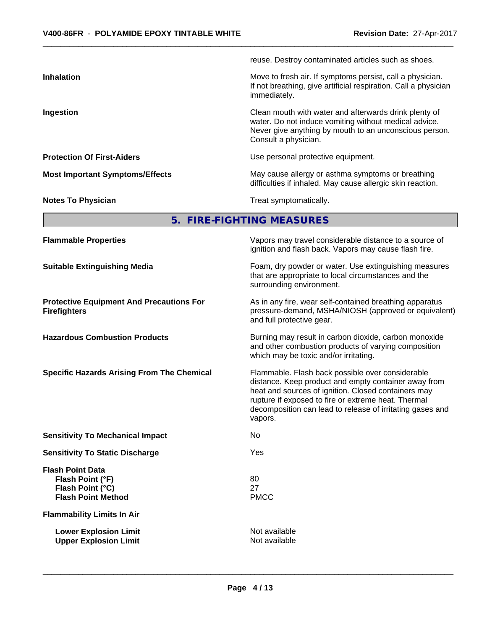reuse. Destroy contaminated articles such as shoes. **Inhalation** Move to fresh air. If symptoms persist, call a physician. If not breathing, give artificial respiration. Call a physician immediately. **Ingestion Ingestion Ingestion Clean mouth with water and afterwards drink plenty of** water. Do not induce vomiting without medical advice. Never give anything by mouth to an unconscious person. Consult a physician. **Protection Of First-Aiders VSE 100 Finally Use personal protective equipment. Most Important Symptoms/Effects** May cause allergy or asthma symptoms or breathing difficulties if inhaled. May cause allergic skin reaction. **Notes To Physician Treat symptomatically.** 

**5. FIRE-FIGHTING MEASURES**

| <b>Flammable Properties</b>                                                                  | Vapors may travel considerable distance to a source of<br>ignition and flash back. Vapors may cause flash fire.                                                                                                                                                                                |
|----------------------------------------------------------------------------------------------|------------------------------------------------------------------------------------------------------------------------------------------------------------------------------------------------------------------------------------------------------------------------------------------------|
| <b>Suitable Extinguishing Media</b>                                                          | Foam, dry powder or water. Use extinguishing measures<br>that are appropriate to local circumstances and the<br>surrounding environment.                                                                                                                                                       |
| <b>Protective Equipment And Precautions For</b><br><b>Firefighters</b>                       | As in any fire, wear self-contained breathing apparatus<br>pressure-demand, MSHA/NIOSH (approved or equivalent)<br>and full protective gear.                                                                                                                                                   |
| <b>Hazardous Combustion Products</b>                                                         | Burning may result in carbon dioxide, carbon monoxide<br>and other combustion products of varying composition<br>which may be toxic and/or irritating.                                                                                                                                         |
| <b>Specific Hazards Arising From The Chemical</b>                                            | Flammable. Flash back possible over considerable<br>distance. Keep product and empty container away from<br>heat and sources of ignition. Closed containers may<br>rupture if exposed to fire or extreme heat. Thermal<br>decomposition can lead to release of irritating gases and<br>vapors. |
| <b>Sensitivity To Mechanical Impact</b>                                                      | No                                                                                                                                                                                                                                                                                             |
| <b>Sensitivity To Static Discharge</b>                                                       | Yes                                                                                                                                                                                                                                                                                            |
| <b>Flash Point Data</b><br>Flash Point (°F)<br>Flash Point (°C)<br><b>Flash Point Method</b> | 80<br>27<br><b>PMCC</b>                                                                                                                                                                                                                                                                        |
| <b>Flammability Limits In Air</b>                                                            |                                                                                                                                                                                                                                                                                                |
| <b>Lower Explosion Limit</b><br><b>Upper Explosion Limit</b>                                 | Not available<br>Not available                                                                                                                                                                                                                                                                 |
|                                                                                              |                                                                                                                                                                                                                                                                                                |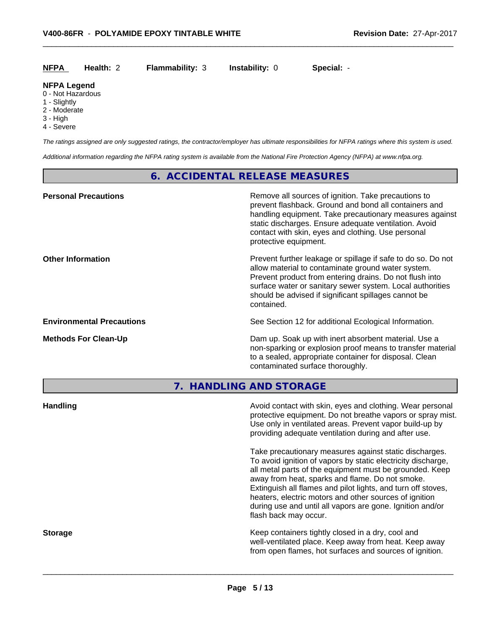| <b>NFPA</b><br>Health: 2 | <b>Flammability: 3</b> | <b>Instability: 0</b> | Special: - |
|--------------------------|------------------------|-----------------------|------------|
|--------------------------|------------------------|-----------------------|------------|

# **NFPA Legend**

- 0 Not Hazardous
- 1 Slightly
- 2 Moderate
- 3 High
- 4 Severe

*The ratings assigned are only suggested ratings, the contractor/employer has ultimate responsibilities for NFPA ratings where this system is used.*

*Additional information regarding the NFPA rating system is available from the National Fire Protection Agency (NFPA) at www.nfpa.org.*

# **6. ACCIDENTAL RELEASE MEASURES**

| <b>Personal Precautions</b>      | Remove all sources of ignition. Take precautions to<br>prevent flashback. Ground and bond all containers and<br>handling equipment. Take precautionary measures against<br>static discharges. Ensure adequate ventilation. Avoid<br>contact with skin, eyes and clothing. Use personal<br>protective equipment.  |
|----------------------------------|------------------------------------------------------------------------------------------------------------------------------------------------------------------------------------------------------------------------------------------------------------------------------------------------------------------|
| <b>Other Information</b>         | Prevent further leakage or spillage if safe to do so. Do not<br>allow material to contaminate ground water system.<br>Prevent product from entering drains. Do not flush into<br>surface water or sanitary sewer system. Local authorities<br>should be advised if significant spillages cannot be<br>contained. |
| <b>Environmental Precautions</b> | See Section 12 for additional Ecological Information.                                                                                                                                                                                                                                                            |
| <b>Methods For Clean-Up</b>      | Dam up. Soak up with inert absorbent material. Use a<br>non-sparking or explosion proof means to transfer material<br>to a sealed, appropriate container for disposal. Clean<br>contaminated surface thoroughly.                                                                                                 |
|                                  |                                                                                                                                                                                                                                                                                                                  |

**7. HANDLING AND STORAGE**

| <b>Handling</b> | Avoid contact with skin, eyes and clothing. Wear personal<br>protective equipment. Do not breathe vapors or spray mist.<br>Use only in ventilated areas. Prevent vapor build-up by<br>providing adequate ventilation during and after use.                                                                                                                                                                                                           |
|-----------------|------------------------------------------------------------------------------------------------------------------------------------------------------------------------------------------------------------------------------------------------------------------------------------------------------------------------------------------------------------------------------------------------------------------------------------------------------|
|                 | Take precautionary measures against static discharges.<br>To avoid ignition of vapors by static electricity discharge,<br>all metal parts of the equipment must be grounded. Keep<br>away from heat, sparks and flame. Do not smoke.<br>Extinguish all flames and pilot lights, and turn off stoves,<br>heaters, electric motors and other sources of ignition<br>during use and until all vapors are gone. Ignition and/or<br>flash back may occur. |
| <b>Storage</b>  | Keep containers tightly closed in a dry, cool and<br>well-ventilated place. Keep away from heat. Keep away<br>from open flames, hot surfaces and sources of ignition.                                                                                                                                                                                                                                                                                |
|                 |                                                                                                                                                                                                                                                                                                                                                                                                                                                      |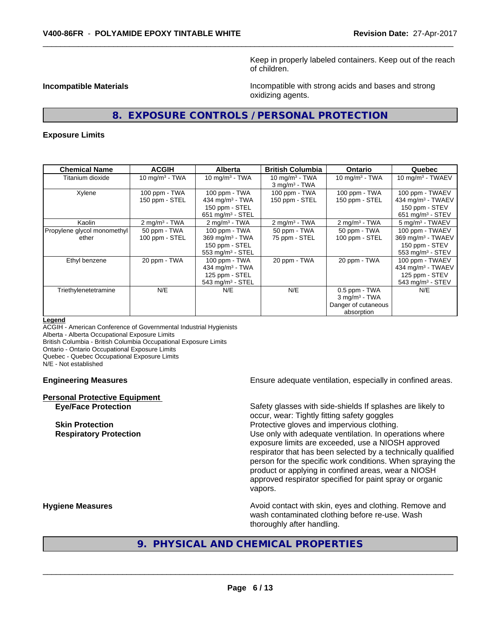Keep in properly labeled containers. Keep out of the reach of children.

**Incompatible Materials Incompatible with strong acids and bases and strong** oxidizing agents.

# **8. EXPOSURE CONTROLS / PERSONAL PROTECTION**

#### **Exposure Limits**

| <b>Chemical Name</b>        | <b>ACGIH</b>             | <b>Alberta</b>                 | <b>British Columbia</b>  | <b>Ontario</b>              | Quebec                         |
|-----------------------------|--------------------------|--------------------------------|--------------------------|-----------------------------|--------------------------------|
| Titanium dioxide            | 10 mg/m $3$ - TWA        | 10 mg/m $3 - TWA$              | 10 mg/m $3$ - TWA        | 10 mg/m $3$ - TWA           | 10 mg/m $3$ - TWAEV            |
|                             |                          |                                | $3 \text{ mg/m}^3$ - TWA |                             |                                |
| Xylene                      | 100 ppm - TWA            | 100 ppm - TWA                  | 100 ppm - TWA            | 100 ppm - TWA               | 100 ppm - TWAEV                |
|                             | 150 ppm - STEL           | 434 mg/m $3$ - TWA             | 150 ppm - STEL           | 150 ppm - STEL              | 434 mg/m <sup>3</sup> - TWAEV  |
|                             |                          | 150 ppm - STEL                 |                          |                             | 150 ppm - STEV                 |
|                             |                          | 651 mg/m $3 -$ STEL            |                          |                             | 651 mg/m $3 -$ STEV            |
| Kaolin                      | $2 \text{ mg/m}^3$ - TWA | $2 \text{ mg/m}^3$ - TWA       | $2 \text{ mg/m}^3$ - TWA | $2 \text{ mg/m}^3$ - TWA    | 5 mg/m <sup>3</sup> - TWAEV    |
| Propylene glycol monomethyl | 50 ppm - TWA             | 100 ppm - TWA                  | 50 ppm - TWA             | 50 ppm - TWA                | 100 ppm - TWAEV                |
| ether                       | 100 ppm - STEL           | $369$ mg/m <sup>3</sup> - TWA  | 75 ppm - STEL            | 100 ppm - STEL              | 369 mg/m <sup>3</sup> - TWAEV  |
|                             |                          | 150 ppm - STEL                 |                          |                             | 150 ppm - STEV                 |
|                             |                          | 553 mg/m $3 -$ STEL            |                          |                             | $553$ mg/m <sup>3</sup> - STEV |
| Ethyl benzene               | 20 ppm - TWA             | 100 ppm - TWA                  | 20 ppm - TWA             | 20 ppm - TWA                | 100 ppm - TWAEV                |
|                             |                          | 434 mg/m $3 - TWA$             |                          |                             | 434 mg/m <sup>3</sup> - TWAEV  |
|                             |                          | 125 ppm - STEL                 |                          |                             | 125 ppm - STEV                 |
|                             |                          | $543$ mg/m <sup>3</sup> - STEL |                          |                             | $543$ mg/m <sup>3</sup> - STEV |
| Triethylenetetramine        | N/E                      | N/E                            | N/E                      | $0.5$ ppm $-$ TWA           | N/E                            |
|                             |                          |                                |                          | $3$ mg/m <sup>3</sup> - TWA |                                |
|                             |                          |                                |                          | Danger of cutaneous         |                                |
|                             |                          |                                |                          | absorption                  |                                |

#### **Legend**

ACGIH - American Conference of Governmental Industrial Hygienists Alberta - Alberta Occupational Exposure Limits British Columbia - British Columbia Occupational Exposure Limits Ontario - Ontario Occupational Exposure Limits Quebec - Quebec Occupational Exposure Limits N/E - Not established

# **Personal Protective Equipment**

**Engineering Measures Ensure adequate ventilation, especially in confined areas.** 

**Eye/Face Protection** Safety glasses with side-shields If splashes are likely to occur, wear: Tightly fitting safety goggles **Skin Protection Protection Protective gloves and impervious clothing. Respiratory Protection Network 1** and the Use only with adequate ventilation. In operations where exposure limits are exceeded, use a NIOSH approved respirator that has been selected by a technically qualified person for the specific work conditions. When spraying the product or applying in confined areas, wear a NIOSH approved respirator specified for paint spray or organic vapors.

**Hygiene Measures Avoid contact with skin, eyes and clothing. Remove and Avoid contact with skin, eyes and clothing. Remove and Avoid contact with skin, eyes and clothing. Remove and** wash contaminated clothing before re-use. Wash thoroughly after handling.

# **9. PHYSICAL AND CHEMICAL PROPERTIES**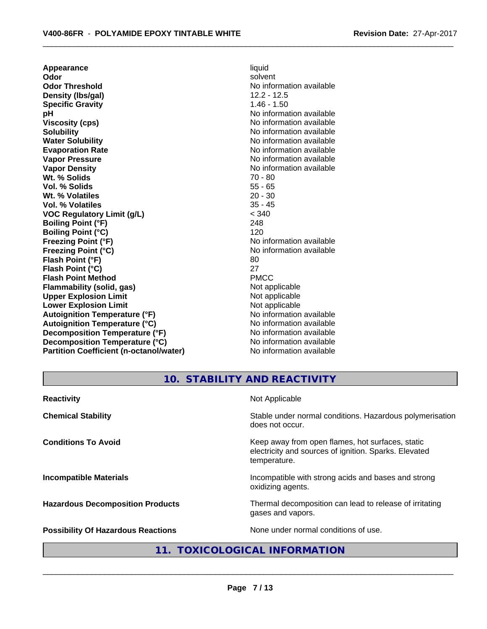**Appearance** liquid **Odor** solvent **Odor Threshold No information available No information available Density (Ibs/gal)** 12.2 - 12.5<br> **Specific Gravity** 1.46 - 1.50 **Specific Gravity pH pH**  $\blacksquare$ **Viscosity (cps)** No information available **Solubility Note 2008 Note 2008 Note 2008 Note 2008 Note 2008 Note 2008 Note 2008 Note 2008 Note 2008 Note 2008 Note 2008 Note 2008 Note 2008 Note 2008 Note 2008 Note 2008 Note 2008 Note Water Solubility** No information available **Evaporation Rate Evaporation Rate No information available Vapor Pressure** No information available No information available **Vapor Density No information available No information available Wt.** % Solids **70 - 80 Vol. % Solids** 55 - 65 **Wt. % Volatiles** 20 - 30 **Vol. % Volatiles** 35 - 45 **VOC Regulatory Limit (g/L)** < 340 **Boiling Point (°F)** 248 **Boiling Point (°C)** 120 **Freezing Point (°F)** No information available **Freezing Point (°C)** The Company of the Monometer of Noinformation available **Flash Point (°F)** 80 **Flash Point (°C)** 27 **Flash Point Method Flammability (solid, gas)** Not applicable **Upper Explosion Limit** Not applicable **Lower Explosion Limit Contract Accord Accord Accord Accord Accord Accord Accord Accord Accord Accord Accord Accord Accord Accord Accord Accord Accord Accord Accord Accord Accord Accord Accord Accord Accord Accord Accord Autoignition Temperature (°F)**<br> **Autoignition Temperature (°C)** No information available Autoignition Temperature (°C)<br>
Decomposition Temperature (°F)<br>
No information available **Decomposition Temperature (°F) Decomposition Temperature (°C)** No information available **Partition Coefficient (n-octanol/water)** No information available

# **10. STABILITY AND REACTIVITY**

| <b>Reactivity</b>                         | Not Applicable                                                                                                            |
|-------------------------------------------|---------------------------------------------------------------------------------------------------------------------------|
| <b>Chemical Stability</b>                 | Stable under normal conditions. Hazardous polymerisation<br>does not occur.                                               |
| <b>Conditions To Avoid</b>                | Keep away from open flames, hot surfaces, static<br>electricity and sources of ignition. Sparks. Elevated<br>temperature. |
| <b>Incompatible Materials</b>             | Incompatible with strong acids and bases and strong<br>oxidizing agents.                                                  |
| <b>Hazardous Decomposition Products</b>   | Thermal decomposition can lead to release of irritating<br>gases and vapors.                                              |
| <b>Possibility Of Hazardous Reactions</b> | None under normal conditions of use.                                                                                      |

# **11. TOXICOLOGICAL INFORMATION**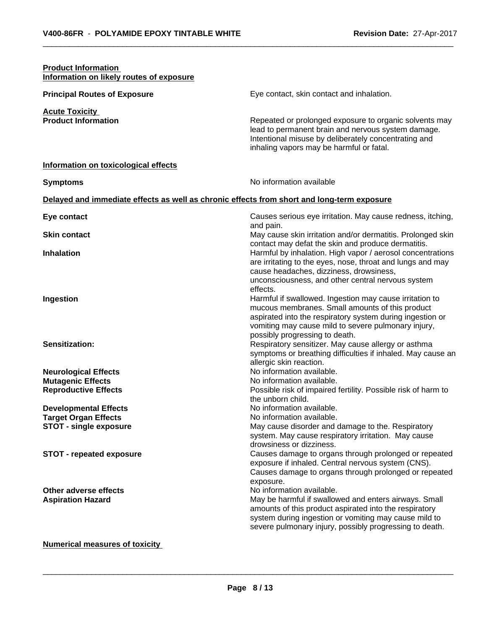| <b>Product Information</b><br>Information on likely routes of exposure                       |                                                                                                                                                                                                                                                                                                                                                                                                                                                                                                                               |
|----------------------------------------------------------------------------------------------|-------------------------------------------------------------------------------------------------------------------------------------------------------------------------------------------------------------------------------------------------------------------------------------------------------------------------------------------------------------------------------------------------------------------------------------------------------------------------------------------------------------------------------|
| <b>Principal Routes of Exposure</b>                                                          | Eye contact, skin contact and inhalation.                                                                                                                                                                                                                                                                                                                                                                                                                                                                                     |
| <b>Acute Toxicity</b><br><b>Product Information</b>                                          | Repeated or prolonged exposure to organic solvents may<br>lead to permanent brain and nervous system damage.<br>Intentional misuse by deliberately concentrating and<br>inhaling vapors may be harmful or fatal.                                                                                                                                                                                                                                                                                                              |
| Information on toxicological effects                                                         |                                                                                                                                                                                                                                                                                                                                                                                                                                                                                                                               |
| <b>Symptoms</b>                                                                              | No information available                                                                                                                                                                                                                                                                                                                                                                                                                                                                                                      |
| Delayed and immediate effects as well as chronic effects from short and long-term exposure   |                                                                                                                                                                                                                                                                                                                                                                                                                                                                                                                               |
| Eye contact                                                                                  | Causes serious eye irritation. May cause redness, itching,                                                                                                                                                                                                                                                                                                                                                                                                                                                                    |
| <b>Skin contact</b>                                                                          | and pain.<br>May cause skin irritation and/or dermatitis. Prolonged skin                                                                                                                                                                                                                                                                                                                                                                                                                                                      |
| <b>Inhalation</b>                                                                            | contact may defat the skin and produce dermatitis.<br>Harmful by inhalation. High vapor / aerosol concentrations<br>are irritating to the eyes, nose, throat and lungs and may                                                                                                                                                                                                                                                                                                                                                |
| Ingestion<br><b>Sensitization:</b>                                                           | cause headaches, dizziness, drowsiness,<br>unconsciousness, and other central nervous system<br>effects.<br>Harmful if swallowed. Ingestion may cause irritation to<br>mucous membranes. Small amounts of this product<br>aspirated into the respiratory system during ingestion or<br>vomiting may cause mild to severe pulmonary injury,<br>possibly progressing to death.<br>Respiratory sensitizer. May cause allergy or asthma<br>symptoms or breathing difficulties if inhaled. May cause an<br>allergic skin reaction. |
| <b>Neurological Effects</b><br><b>Mutagenic Effects</b><br><b>Reproductive Effects</b>       | No information available.<br>No information available.<br>Possible risk of impaired fertility. Possible risk of harm to                                                                                                                                                                                                                                                                                                                                                                                                       |
| <b>Developmental Effects</b><br><b>Target Organ Effects</b><br><b>STOT - single exposure</b> | the unborn child.<br>No information available.<br>No information available.<br>May cause disorder and damage to the. Respiratory<br>system. May cause respiratory irritation. May cause<br>drowsiness or dizziness.                                                                                                                                                                                                                                                                                                           |
| <b>STOT - repeated exposure</b>                                                              | Causes damage to organs through prolonged or repeated<br>exposure if inhaled. Central nervous system (CNS).<br>Causes damage to organs through prolonged or repeated<br>exposure.                                                                                                                                                                                                                                                                                                                                             |
| Other adverse effects<br><b>Aspiration Hazard</b>                                            | No information available.<br>May be harmful if swallowed and enters airways. Small<br>amounts of this product aspirated into the respiratory<br>system during ingestion or vomiting may cause mild to<br>severe pulmonary injury, possibly progressing to death.                                                                                                                                                                                                                                                              |
| <b>Numerical measures of toxicity</b>                                                        |                                                                                                                                                                                                                                                                                                                                                                                                                                                                                                                               |

# **Page 8 / 13**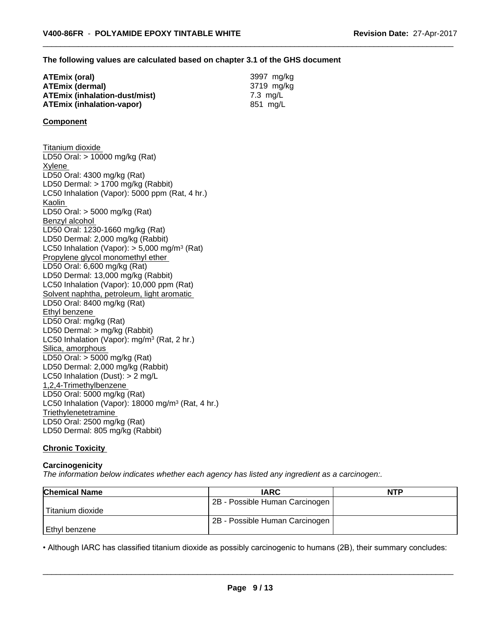#### **The following values are calculated based on chapter 3.1 of the GHS document**

| ATEmix (oral)                 | 3997 mg/ka |
|-------------------------------|------------|
| <b>ATEmix (dermal)</b>        | 3719 mg/kg |
| ATEmix (inhalation-dust/mist) | 7.3 ma/L   |
| ATEmix (inhalation-vapor)     | 851 mg/L   |

#### **Component**

Titanium dioxide LD50 Oral: > 10000 mg/kg (Rat) Xylene LD50 Oral: 4300 mg/kg (Rat) LD50 Dermal: > 1700 mg/kg (Rabbit) LC50 Inhalation (Vapor): 5000 ppm (Rat, 4 hr.) Kaolin LD50 Oral: > 5000 mg/kg (Rat) Benzyl alcohol LD50 Oral: 1230-1660 mg/kg (Rat) LD50 Dermal: 2,000 mg/kg (Rabbit) LC50 Inhalation (Vapor): > 5,000 mg/m<sup>3</sup> (Rat) Propylene glycol monomethyl ether LD50 Oral: 6,600 mg/kg (Rat) LD50 Dermal: 13,000 mg/kg (Rabbit) LC50 Inhalation (Vapor): 10,000 ppm (Rat) Solvent naphtha, petroleum, light aromatic LD50 Oral: 8400 mg/kg (Rat) Ethyl benzene LD50 Oral: mg/kg (Rat) LD50 Dermal: > mg/kg (Rabbit) LC50 Inhalation (Vapor): mg/m<sup>3</sup> (Rat, 2 hr.) Silica, amorphous LD50 Oral: > 5000 mg/kg (Rat) LD50 Dermal: 2,000 mg/kg (Rabbit) LC50 Inhalation (Dust): > 2 mg/L 1,2,4-Trimethylbenzene LD50 Oral: 5000 mg/kg (Rat) LC50 Inhalation (Vapor): 18000 mg/m<sup>3</sup> (Rat, 4 hr.) **Triethylenetetramine** LD50 Oral: 2500 mg/kg (Rat) LD50 Dermal: 805 mg/kg (Rabbit)

#### **Chronic Toxicity**

#### **Carcinogenicity**

*The information below indicateswhether each agency has listed any ingredient as a carcinogen:.*

| <b>Chemical Name</b> | <b>IARC</b>                    | <b>NTP</b> |
|----------------------|--------------------------------|------------|
|                      | 2B - Possible Human Carcinogen |            |
| Titanium dioxide     |                                |            |
|                      | 2B - Possible Human Carcinogen |            |
| l Ethvl benzene      |                                |            |

• Although IARC has classified titanium dioxide as possibly carcinogenic to humans (2B), their summary concludes:<br> **Page 9/13**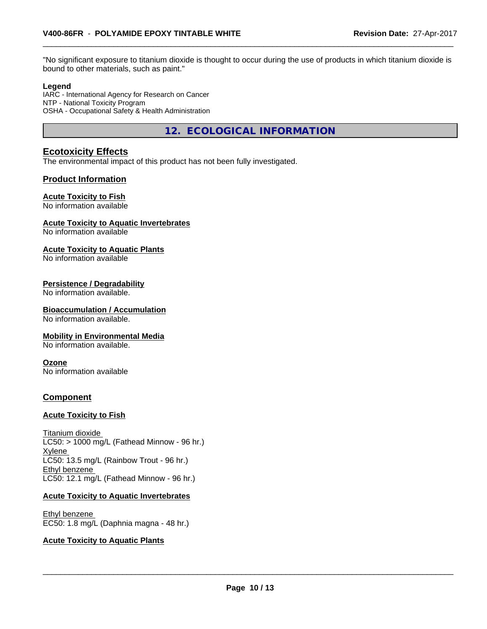"No significant exposure to titanium dioxide is thought to occur during the use of products in which titanium dioxide is bound to other materials, such as paint."

#### **Legend**

IARC - International Agency for Research on Cancer NTP - National Toxicity Program OSHA - Occupational Safety & Health Administration

**12. ECOLOGICAL INFORMATION**

# **Ecotoxicity Effects**

The environmental impact of this product has not been fully investigated.

# **Product Information**

#### **Acute Toxicity to Fish**

No information available

#### **Acute Toxicity to Aquatic Invertebrates**

No information available

#### **Acute Toxicity to Aquatic Plants**

No information available

#### **Persistence / Degradability**

No information available.

#### **Bioaccumulation / Accumulation**

No information available.

#### **Mobility in Environmental Media**

No information available.

#### **Ozone**

No information available

### **Component**

#### **Acute Toxicity to Fish**

Titanium dioxide  $LC50:$  > 1000 mg/L (Fathead Minnow - 96 hr.) Xylene LC50: 13.5 mg/L (Rainbow Trout - 96 hr.) Ethyl benzene LC50: 12.1 mg/L (Fathead Minnow - 96 hr.)

#### **Acute Toxicity to Aquatic Invertebrates**

Ethyl benzene EC50: 1.8 mg/L (Daphnia magna - 48 hr.)

#### **Acute Toxicity to Aquatic Plants**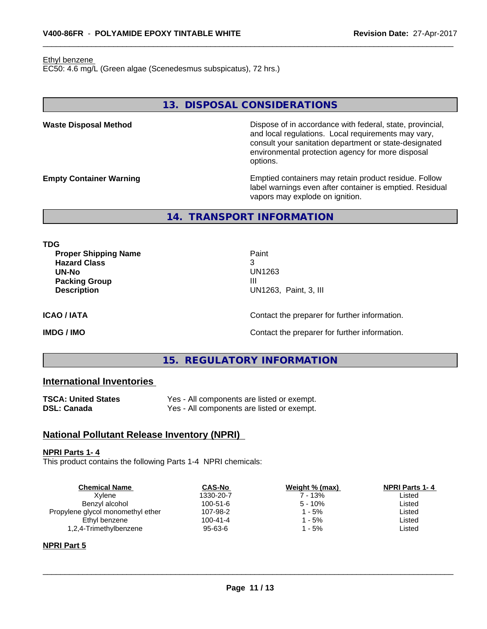#### Ethyl benzene

EC50: 4.6 mg/L (Green algae (Scenedesmus subspicatus), 72 hrs.)

# **13. DISPOSAL CONSIDERATIONS**

**Waste Disposal Method Dispose of in accordance with federal, state, provincial,** and local regulations. Local requirements may vary, consult your sanitation department or state-designated environmental protection agency for more disposal options.

**Empty Container Warning <b>Emptied** Containers may retain product residue. Follow label warnings even after container is emptied. Residual vapors may explode on ignition.

**14. TRANSPORT INFORMATION**

**TDG**

**Proper Shipping Name Paint Hazard Class** 3 **UN-No** UN1263 **Packing Group** III

**UN1263, Paint, 3, III** 

**ICAO / IATA ICAO / IATA Contact the preparer for further information.** 

**IMDG / IMO Contact the preparer for further information.** 

# **15. REGULATORY INFORMATION**

# **International Inventories**

| TSCA: United States | Yes - All components are listed or exempt. |
|---------------------|--------------------------------------------|
| DSL: Canada         | Yes - All components are listed or exempt. |

### **National Pollutant Release Inventory (NPRI)**

#### **NPRI Parts 1- 4**

This product contains the following Parts 1-4 NPRI chemicals:

| <b>Chemical Name</b>              | <b>CAS-No</b>  | Weight % (max) | <b>NPRI Parts 1-4</b> |
|-----------------------------------|----------------|----------------|-----------------------|
| Xvlene                            | 1330-20-7      | 7 - 13%        | Listed                |
| Benzyl alcohol                    | $100 - 51 - 6$ | $5 - 10%$      | Listed                |
| Propylene glycol monomethyl ether | 107-98-2       | - 5%           | Listed                |
| Ethyl benzene                     | $100 - 41 - 4$ | - 5%           | Listed                |
| 1,2,4-Trimethylbenzene            | 95-63-6        | - 5%           | Listed                |
|                                   |                |                |                       |

#### **NPRI Part 5**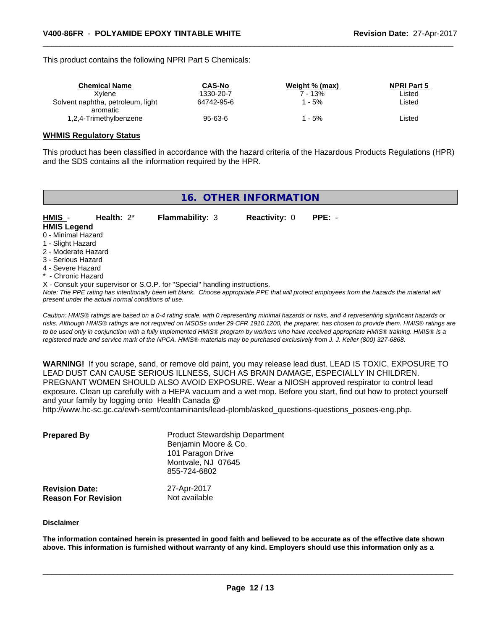This product contains the following NPRI Part 5 Chemicals:

| <b>Chemical Name</b>                          | CAS-No        | Weight % (max) | <b>NPRI Part 5</b> |  |
|-----------------------------------------------|---------------|----------------|--------------------|--|
| Xvlene                                        | 1330-20-7     | 7 - 13%        | Listed             |  |
| Solvent naphtha, petroleum, light<br>aromatic | 64742-95-6    | - 5%           | ∟isted             |  |
| 1,2,4-Trimethylbenzene                        | $95 - 63 - 6$ | - 5%           | ∟isted             |  |

#### **WHMIS Regulatory Status**

This product has been classified in accordance with the hazard criteria of the Hazardous Products Regulations (HPR) and the SDS contains all the information required by the HPR.

| 16. OTHER INFORMATION        |                                                    |                                                                            |                      |                                                                                                                                                 |
|------------------------------|----------------------------------------------------|----------------------------------------------------------------------------|----------------------|-------------------------------------------------------------------------------------------------------------------------------------------------|
| HMIS -<br><b>HMIS Legend</b> | Health: $2^*$                                      | <b>Flammability: 3</b>                                                     | <b>Reactivity: 0</b> | $PPE: -$                                                                                                                                        |
| 0 - Minimal Hazard           |                                                    |                                                                            |                      |                                                                                                                                                 |
| 1 - Slight Hazard            |                                                    |                                                                            |                      |                                                                                                                                                 |
| 2 - Moderate Hazard          |                                                    |                                                                            |                      |                                                                                                                                                 |
| 3 - Serious Hazard           |                                                    |                                                                            |                      |                                                                                                                                                 |
| 4 - Severe Hazard            |                                                    |                                                                            |                      |                                                                                                                                                 |
| * - Chronic Hazard           |                                                    |                                                                            |                      |                                                                                                                                                 |
|                              |                                                    | X - Consult your supervisor or S.O.P. for "Special" handling instructions. |                      |                                                                                                                                                 |
|                              | present under the actual normal conditions of use. |                                                                            |                      | Note: The PPE rating has intentionally been left blank. Choose appropriate PPE that will protect employees from the hazards the material will   |
|                              |                                                    |                                                                            |                      | Caution: HMIS® ratings are based on a 0-4 rating scale, with 0 representing minimal hazards or risks, and 4 representing significant hazards or |

*Caution: HMISÒ ratings are based on a 0-4 rating scale, with 0 representing minimal hazards or risks, and 4 representing significant hazards or risks. Although HMISÒ ratings are not required on MSDSs under 29 CFR 1910.1200, the preparer, has chosen to provide them. HMISÒ ratings are to be used only in conjunction with a fully implemented HMISÒ program by workers who have received appropriate HMISÒ training. HMISÒ is a registered trade and service mark of the NPCA. HMISÒ materials may be purchased exclusively from J. J. Keller (800) 327-6868.*

**WARNING!** If you scrape, sand, or remove old paint, you may release lead dust. LEAD IS TOXIC. EXPOSURE TO LEAD DUST CAN CAUSE SERIOUS ILLNESS, SUCH AS BRAIN DAMAGE, ESPECIALLY IN CHILDREN. PREGNANT WOMEN SHOULD ALSO AVOID EXPOSURE.Wear a NIOSH approved respirator to control lead exposure. Clean up carefully with a HEPA vacuum and a wet mop. Before you start, find out how to protect yourself and your family by logging onto Health Canada @

http://www.hc-sc.gc.ca/ewh-semt/contaminants/lead-plomb/asked\_questions-questions\_posees-eng.php.

| <b>Prepared By</b>                                  | <b>Product Stewardship Department</b><br>Benjamin Moore & Co.<br>101 Paragon Drive<br>Montvale, NJ 07645<br>855-724-6802 |  |
|-----------------------------------------------------|--------------------------------------------------------------------------------------------------------------------------|--|
| <b>Revision Date:</b><br><b>Reason For Revision</b> | 27-Apr-2017<br>Not available                                                                                             |  |

#### **Disclaimer**

The information contained herein is presented in good faith and believed to be accurate as of the effective date shown above. This information is furnished without warranty of any kind. Employers should use this information only as a